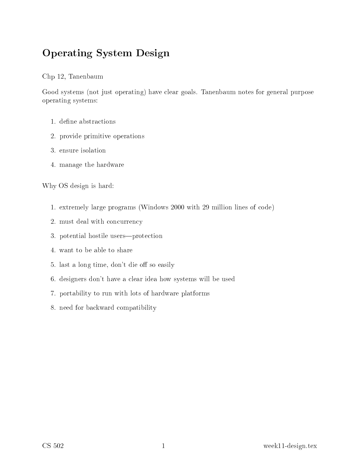# Operating System Design

#### Chp 12, Tanenbaum

Good systems (not just operating) have clear goals. Tanenbaum notes for general purpose operating systems:

- 1. define abstractions
- 2. provide primitive operations
- 
- 4. manage the hardware

Why OS design is hard:

- 1. extremely large programs (Windows 2000 with 29 million lines of ode)
- 2. must deal with on
urren
y
- 3. potential hostile users—protection
- 4. want to be able to share
- 5. last a long time, don't die off so easily
- 6. designers don't have a lear idea how systems will be used
- 7. portability to run with lots of hardware platforms
- 8. need for ba
kward ompatibility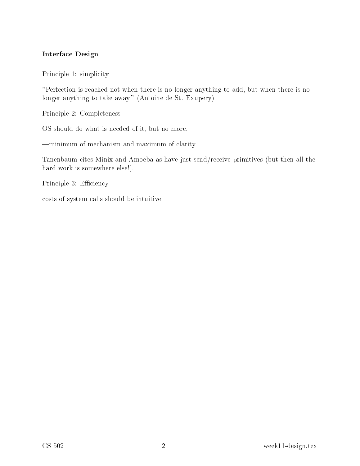#### **Interface Design**

Principle 1: simplicity

"Perfection is reached not when there is no longer anything to add, but when there is no longer anything to take away." (Antoine de St. Exupery)

Principle 2: Completeness

OS should do what is needed of it, but no more.

-minimum of mechanism and maximum of clarity

Tanenbaum cites Minix and Amoeba as have just send/receive primitives (but then all the hard work is somewhere else!).

Principle 3: Efficiency

costs of system calls should be intuitive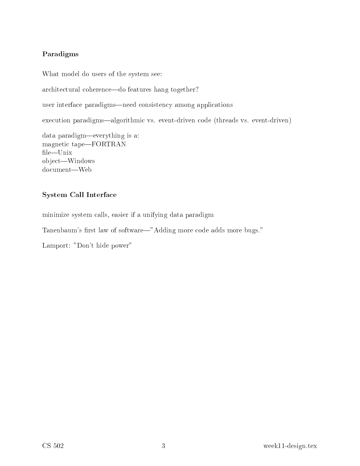### Paradigms

What model do users of the system see:

architectural coherence—do features hang together?

user interface paradigms—need consistency among applications

execution paradigms—algorithmic vs. event-driven code (threads vs. event-driven)

data paradigm—everything is a: magnetic tape-FORTRAN file-Unix object—Windows document—Web

#### System Call Interfa
e

minimize system alls, easier if a unifying data paradigm

Tanenbaum's first law of software—"Adding more code adds more bugs."

Lamport: "Don't hide power"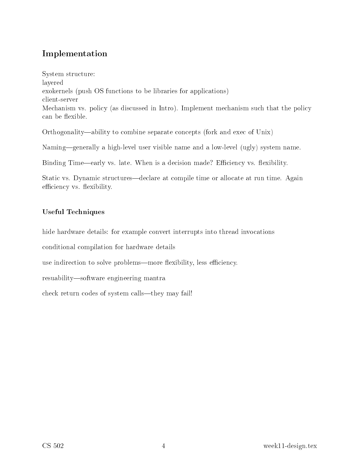# Implementation

System structure: layered exokernels (push OS functions to be libraries for applications) client-server Mechanism vs. policy (as discussed in Intro). Implement mechanism such that the policy can be flexible.

Orthogonality—ability to combine separate concepts (fork and exec of Unix)

Naming—generally a high-level user visible name and a low-level (ugly) system name.

Binding Time—early vs. late. When is a decision made? Efficiency vs. flexibility.

Static vs. Dynamic structures—declare at compile time or allocate at run time. Again efficiency vs. flexibility.

#### **Useful Techniques**

hide hardware details: for example convert interrupts into thread invocations

conditional compilation for hardware details

use indirection to solve problems—more flexibility, less efficiency.

resuability—software engineering mantra

check return codes of system calls—they may fail!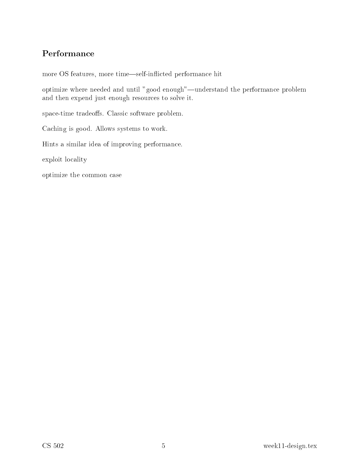## Performance

more OS features, more time-self-inflicted performance hit

optimize where needed and until "good enough"—understand the performance problem and then expend just enough resources to solve it.

space-time tradeoffs. Classic software problem.

Caching is good. Allows systems to work.

Hints a similar idea of improving performance.

exploit locality

optimize the common case